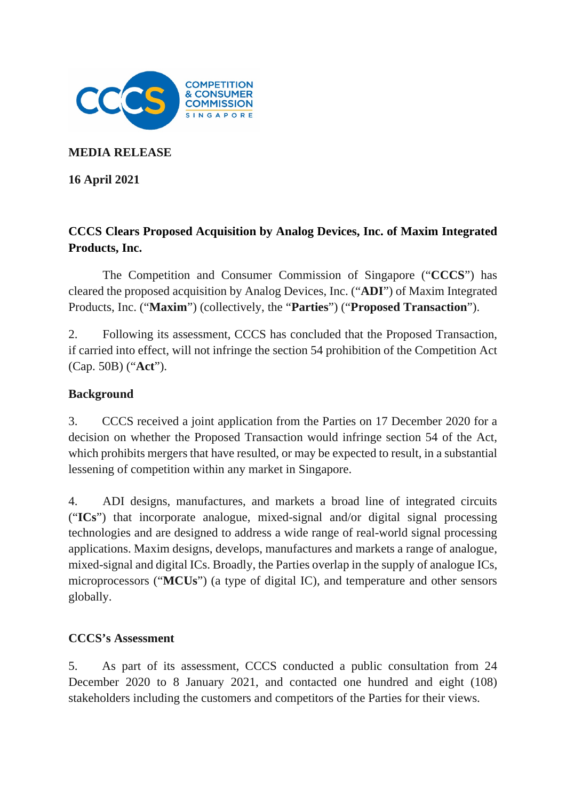

**MEDIA RELEASE**

**16 April 2021**

# **CCCS Clears Proposed Acquisition by Analog Devices, Inc. of Maxim Integrated Products, Inc.**

The Competition and Consumer Commission of Singapore ("**CCCS**") has cleared the proposed acquisition by Analog Devices, Inc. ("**ADI**") of Maxim Integrated Products, Inc. ("**Maxim**") (collectively, the "**Parties**") ("**Proposed Transaction**").

2. Following its assessment, CCCS has concluded that the Proposed Transaction, if carried into effect, will not infringe the section 54 prohibition of the Competition Act (Cap. 50B) ("**Act**").

#### **Background**

3. CCCS received a joint application from the Parties on 17 December 2020 for a decision on whether the Proposed Transaction would infringe section 54 of the Act, which prohibits mergers that have resulted, or may be expected to result, in a substantial lessening of competition within any market in Singapore.

4. ADI designs, manufactures, and markets a broad line of integrated circuits ("**ICs**") that incorporate analogue, mixed-signal and/or digital signal processing technologies and are designed to address a wide range of real-world signal processing applications. Maxim designs, develops, manufactures and markets a range of analogue, mixed-signal and digital ICs. Broadly, the Parties overlap in the supply of analogue ICs, microprocessors ("**MCUs**") (a type of digital IC), and temperature and other sensors globally.

#### **CCCS's Assessment**

5. As part of its assessment, CCCS conducted a public consultation from 24 December 2020 to 8 January 2021, and contacted one hundred and eight (108) stakeholders including the customers and competitors of the Parties for their views.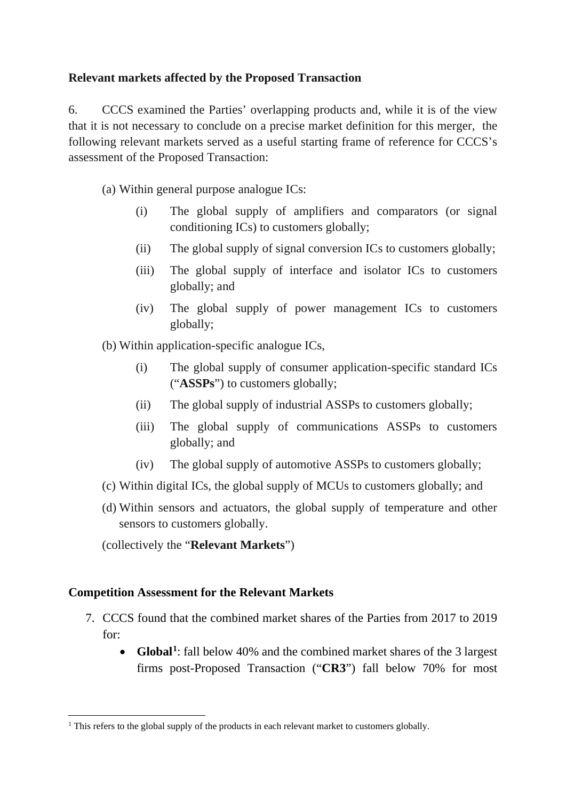## **Relevant markets affected by the Proposed Transaction**

6. CCCS examined the Parties' overlapping products and, while it is of the view that it is not necessary to conclude on a precise market definition for this merger, the following relevant markets served as a useful starting frame of reference for CCCS's assessment of the Proposed Transaction:

(a) Within general purpose analogue ICs:

- (i) The global supply of amplifiers and comparators (or signal conditioning ICs) to customers globally;
- (ii) The global supply of signal conversion ICs to customers globally;
- (iii) The global supply of interface and isolator ICs to customers globally; and
- (iv) The global supply of power management ICs to customers globally;

(b) Within application-specific analogue ICs,

- (i) The global supply of consumer application-specific standard ICs ("**ASSPs**") to customers globally;
- (ii) The global supply of industrial ASSPs to customers globally;
- (iii) The global supply of communications ASSPs to customers globally; and
- (iv) The global supply of automotive ASSPs to customers globally;
- (c) Within digital ICs, the global supply of MCUs to customers globally; and
- (d) Within sensors and actuators, the global supply of temperature and other sensors to customers globally.

(collectively the "**Relevant Markets**")

## **Competition Assessment for the Relevant Markets**

- 7. CCCS found that the combined market shares of the Parties from 2017 to 2019 for:
	- **Global[1](#page-1-0)** : fall below 40% and the combined market shares of the 3 largest firms post-Proposed Transaction ("**CR3**") fall below 70% for most

<span id="page-1-0"></span><sup>&</sup>lt;sup>1</sup> This refers to the global supply of the products in each relevant market to customers globally.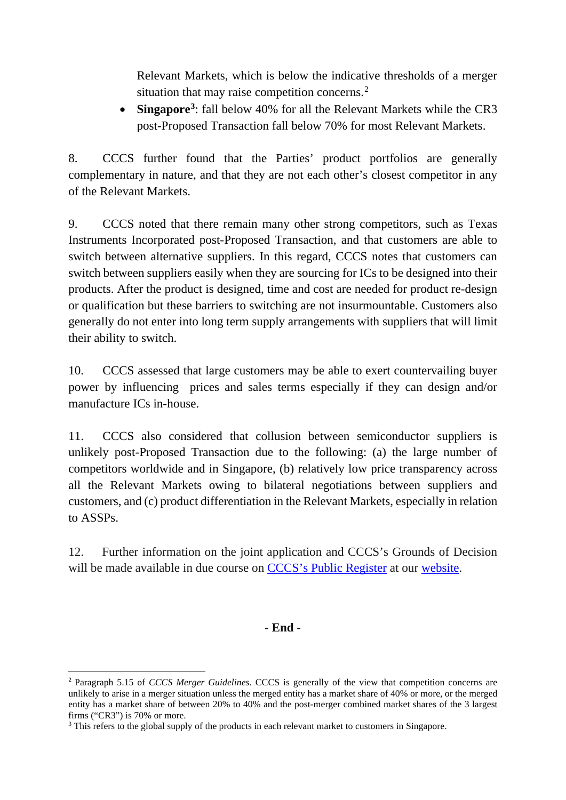Relevant Markets, which is below the indicative thresholds of a merger situation that may raise competition concerns.<sup>[2](#page-2-0)</sup>

• **Singapore[3](#page-2-1)** : fall below 40% for all the Relevant Markets while the CR3 post-Proposed Transaction fall below 70% for most Relevant Markets.

8. CCCS further found that the Parties' product portfolios are generally complementary in nature, and that they are not each other's closest competitor in any of the Relevant Markets.

9. CCCS noted that there remain many other strong competitors, such as Texas Instruments Incorporated post-Proposed Transaction, and that customers are able to switch between alternative suppliers. In this regard, CCCS notes that customers can switch between suppliers easily when they are sourcing for ICs to be designed into their products. After the product is designed, time and cost are needed for product re-design or qualification but these barriers to switching are not insurmountable. Customers also generally do not enter into long term supply arrangements with suppliers that will limit their ability to switch.

10. CCCS assessed that large customers may be able to exert countervailing buyer power by influencing prices and sales terms especially if they can design and/or manufacture ICs in-house.

11. CCCS also considered that collusion between semiconductor suppliers is unlikely post-Proposed Transaction due to the following: (a) the large number of competitors worldwide and in Singapore, (b) relatively low price transparency across all the Relevant Markets owing to bilateral negotiations between suppliers and customers, and (c) product differentiation in the Relevant Markets, especially in relation to ASSPs.

12. Further information on the joint application and CCCS's Grounds of Decision will be made available in due course on [CCCS's Public Register](https://www.cccs.gov.sg/cases-and-commitments/public-register) at our [website.](http://www.cccs.gov.sg/)

## - **End** -

<span id="page-2-0"></span><sup>2</sup> Paragraph 5.15 of *CCCS Merger Guidelines*. CCCS is generally of the view that competition concerns are unlikely to arise in a merger situation unless the merged entity has a market share of 40% or more, or the merged entity has a market share of between 20% to 40% and the post-merger combined market shares of the 3 largest firms ("CR3") is 70% or more.

<span id="page-2-1"></span><sup>&</sup>lt;sup>3</sup> This refers to the global supply of the products in each relevant market to customers in Singapore.